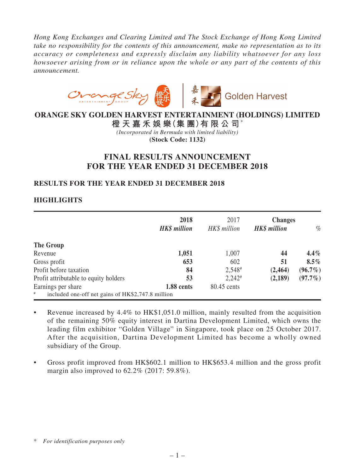*Hong Kong Exchanges and Clearing Limited and The Stock Exchange of Hong Kong Limited take no responsibility for the contents of this announcement, make no representation as to its accuracy or completeness and expressly disclaim any liability whatsoever for any loss howsoever arising from or in reliance upon the whole or any part of the contents of this announcement.*



# **ORANGE SKY GOLDEN HARVEST ENTERTAINMENT (HOLDINGS) LIMITED**

**橙 天 嘉 禾 娛 樂(集 團)有 限 公 司**\* *(Incorporated in Bermuda with limited liability)* **(Stock Code: 1132)**

# **FINAL RESULTS ANNOUNCEMENT FOR THE YEAR ENDED 31 DECEMBER 2018**

# **RESULTS FOR THE YEAR ENDED 31 DECEMBER 2018**

# **HIGHLIGHTS**

|                                                           | 2018<br><b>HK\$</b> million | 2017<br>HK\$ million | <b>Changes</b><br><b>HK\$</b> million | $\%$       |
|-----------------------------------------------------------|-----------------------------|----------------------|---------------------------------------|------------|
| The Group                                                 |                             |                      |                                       |            |
| Revenue                                                   | 1,051                       | 1,007                | 44                                    | $4.4\%$    |
| Gross profit                                              | 653                         | 602                  | 51                                    | $8.5\%$    |
| Profit before taxation                                    | 84                          | $2,548$ <sup>#</sup> | (2, 464)                              | $(96.7\%)$ |
| Profit attributable to equity holders                     | 53                          | $2,242$ <sup>#</sup> | (2,189)                               | $(97.7\%)$ |
| Earnings per share                                        | 1.88 cents                  | 80.45 cents          |                                       |            |
| $\#$<br>included one-off net gains of HK\$2,747.8 million |                             |                      |                                       |            |

- Revenue increased by 4.4% to HK\$1,051.0 million, mainly resulted from the acquisition of the remaining 50% equity interest in Dartina Development Limited, which owns the leading film exhibitor "Golden Village" in Singapore, took place on 25 October 2017. After the acquisition, Dartina Development Limited has become a wholly owned subsidiary of the Group.
- Gross profit improved from HK\$602.1 million to HK\$653.4 million and the gross profit margin also improved to 62.2% (2017: 59.8%).

<sup>\*</sup> *For identification purposes only*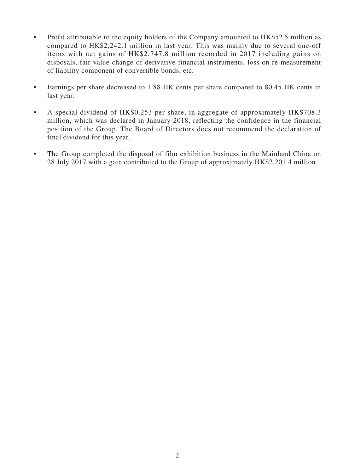- Profit attributable to the equity holders of the Company amounted to HK\$52.5 million as compared to HK\$2,242.1 million in last year. This was mainly due to several one-off items with net gains of HK\$2,747.8 million recorded in 2017 including gains on disposals, fair value change of derivative financial instruments, loss on re-measurement of liability component of convertible bonds, etc.
- Earnings per share decreased to 1.88 HK cents per share compared to 80.45 HK cents in last year.
- A special dividend of HK\$0.253 per share, in aggregate of approximately HK\$708.3 million, which was declared in January 2018, reflecting the confidence in the financial position of the Group. The Board of Directors does not recommend the declaration of final dividend for this year.
- The Group completed the disposal of film exhibition business in the Mainland China on 28 July 2017 with a gain contributed to the Group of approximately HK\$2,201.4 million.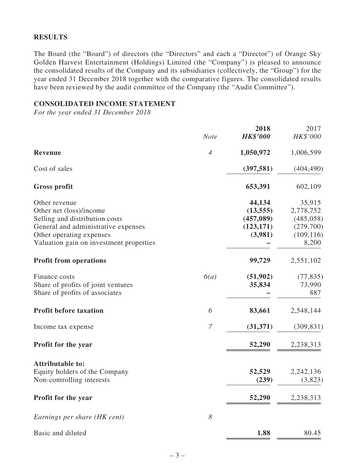## **RESULTS**

The Board (the "Board") of directors (the "Directors" and each a "Director") of Orange Sky Golden Harvest Entertainment (Holdings) Limited (the "Company") is pleased to announce the consolidated results of the Company and its subsidiaries (collectively, the "Group") for the year ended 31 December 2018 together with the comparative figures. The consolidated results have been reviewed by the audit committee of the Company (the "Audit Committee").

### **CONSOLIDATED INCOME STATEMENT**

*For the year ended 31 December 2018*

|                                                                     |                | 2018            | 2017                |
|---------------------------------------------------------------------|----------------|-----------------|---------------------|
|                                                                     | <b>Note</b>    | <b>HK\$'000</b> | HK\$'000            |
| Revenue                                                             | $\overline{4}$ | 1,050,972       | 1,006,599           |
| Cost of sales                                                       |                | (397, 581)      | (404, 490)          |
| <b>Gross profit</b>                                                 |                | 653,391         | 602,109             |
| Other revenue                                                       |                | 44,134          | 35,915              |
| Other net (loss)/income                                             |                | (13, 555)       | 2,778,752           |
| Selling and distribution costs                                      |                | (457,089)       | (485, 058)          |
| General and administrative expenses                                 |                | (123, 171)      | (279,700)           |
| Other operating expenses<br>Valuation gain on investment properties |                | (3,981)         | (109, 116)<br>8,200 |
| <b>Profit from operations</b>                                       |                | 99,729          | 2,551,102           |
| Finance costs                                                       | 6(a)           | (51,902)        | (77, 835)           |
| Share of profits of joint ventures                                  |                | 35,834          | 73,990              |
| Share of profits of associates                                      |                |                 | 887                 |
| <b>Profit before taxation</b>                                       | 6              | 83,661          | 2,548,144           |
| Income tax expense                                                  | $\overline{7}$ | (31,371)        | (309, 831)          |
| Profit for the year                                                 |                | 52,290          | 2,238,313           |
| <b>Attributable to:</b>                                             |                |                 |                     |
| Equity holders of the Company                                       |                | 52,529          | 2,242,136           |
| Non-controlling interests                                           |                | (239)           | (3,823)             |
| Profit for the year                                                 |                | 52,290          | 2,238,313           |
| Earnings per share (HK cent)                                        | 8              |                 |                     |
| Basic and diluted                                                   |                | 1.88            | 80.45               |
|                                                                     |                |                 |                     |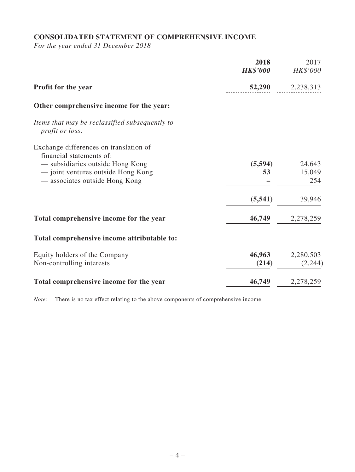# **CONSOLIDATED STATEMENT OF COMPREHENSIVE INCOME**

*For the year ended 31 December 2018*

|                                                                    | 2018<br><b>HK\$'000</b> | 2017<br>HK\$'000 |
|--------------------------------------------------------------------|-------------------------|------------------|
| Profit for the year                                                | 52,290                  | 2,238,313        |
| Other comprehensive income for the year:                           |                         |                  |
| Items that may be reclassified subsequently to<br>profit or loss:  |                         |                  |
| Exchange differences on translation of<br>financial statements of: |                         |                  |
| — subsidiaries outside Hong Kong                                   | (5,594)                 | 24,643           |
| - joint ventures outside Hong Kong                                 | 53                      | 15,049           |
| — associates outside Hong Kong                                     |                         | 254              |
|                                                                    | (5, 541)                | 39,946           |
| Total comprehensive income for the year                            | 46,749                  | 2,278,259        |
| Total comprehensive income attributable to:                        |                         |                  |
| Equity holders of the Company                                      | 46,963                  | 2,280,503        |
| Non-controlling interests                                          | (214)                   | (2,244)          |
|                                                                    |                         |                  |
| Total comprehensive income for the year                            | 46,749                  | 2,278,259        |

*Note:* There is no tax effect relating to the above components of comprehensive income.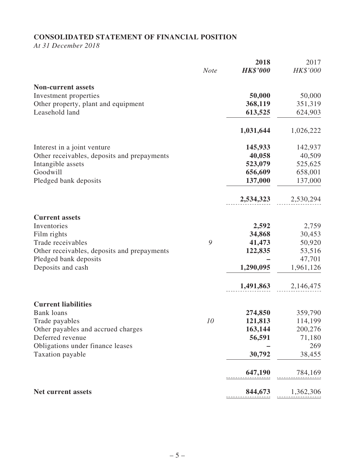# **CONSOLIDATED STATEMENT OF FINANCIAL POSITION**

*At 31 December 2018*

|                                                       | <b>Note</b> | 2018<br><b>HK\$'000</b> | 2017<br>HK\$'000   |
|-------------------------------------------------------|-------------|-------------------------|--------------------|
|                                                       |             |                         |                    |
| <b>Non-current assets</b>                             |             |                         |                    |
| Investment properties                                 |             | 50,000                  | 50,000             |
| Other property, plant and equipment<br>Leasehold land |             | 368,119<br>613,525      | 351,319<br>624,903 |
|                                                       |             |                         |                    |
|                                                       |             | 1,031,644               | 1,026,222          |
| Interest in a joint venture                           |             | 145,933                 | 142,937            |
| Other receivables, deposits and prepayments           |             | 40,058                  | 40,509             |
| Intangible assets                                     |             | 523,079                 | 525,625            |
| Goodwill                                              |             | 656,609                 | 658,001            |
| Pledged bank deposits                                 |             | 137,000                 | 137,000            |
|                                                       |             | 2,534,323               | 2,530,294          |
| <b>Current assets</b>                                 |             |                         |                    |
| Inventories                                           |             | 2,592                   | 2,759              |
| Film rights                                           |             | 34,868                  | 30,453             |
| Trade receivables                                     | 9           | 41,473                  | 50,920             |
| Other receivables, deposits and prepayments           |             | 122,835                 | 53,516             |
| Pledged bank deposits                                 |             |                         | 47,701             |
| Deposits and cash                                     |             | 1,290,095               | 1,961,126          |
|                                                       |             | 1,491,863               | 2,146,475          |
| <b>Current liabilities</b>                            |             |                         |                    |
| <b>Bank</b> loans                                     |             | 274,850                 | 359,790            |
| Trade payables                                        | 10          | 121,813                 | 114,199            |
| Other payables and accrued charges                    |             | 163,144                 | 200,276            |
| Deferred revenue                                      |             | 56,591                  | 71,180             |
| Obligations under finance leases                      |             |                         | 269                |
| Taxation payable                                      |             | 30,792                  | 38,455             |
|                                                       |             | 647,190                 | 784,169            |
| <b>Net current assets</b>                             |             | 844,673                 | 1,362,306          |
|                                                       |             |                         |                    |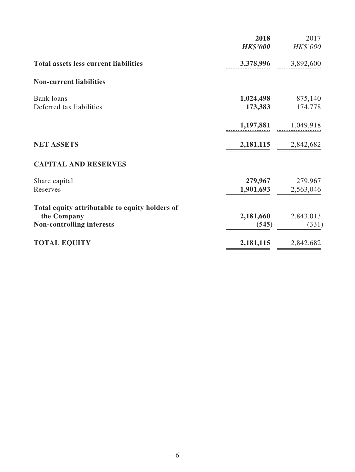|                                                                                                   | 2018<br><b>HK\$'000</b> | 2017<br>HK\$'000     |
|---------------------------------------------------------------------------------------------------|-------------------------|----------------------|
| <b>Total assets less current liabilities</b>                                                      | 3,378,996               | 3,892,600            |
| <b>Non-current liabilities</b>                                                                    |                         |                      |
| <b>Bank</b> loans<br>Deferred tax liabilities                                                     | 1,024,498<br>173,383    | 875,140<br>174,778   |
|                                                                                                   | 1,197,881               | 1,049,918            |
| <b>NET ASSETS</b>                                                                                 |                         | 2,181,115 2,842,682  |
| <b>CAPITAL AND RESERVES</b>                                                                       |                         |                      |
| Share capital<br>Reserves                                                                         | 279,967<br>1,901,693    | 279,967<br>2,563,046 |
| Total equity attributable to equity holders of<br>the Company<br><b>Non-controlling interests</b> | 2,181,660<br>(545)      | 2,843,013<br>(331)   |
| <b>TOTAL EQUITY</b>                                                                               | 2,181,115               | 2,842,682            |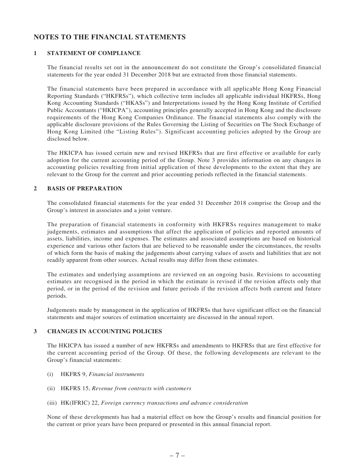# **NOTES TO THE FINANCIAL STATEMENTS**

### **1 STATEMENT OF COMPLIANCE**

The financial results set out in the announcement do not constitute the Group's consolidated financial statements for the year ended 31 December 2018 but are extracted from those financial statements.

The financial statements have been prepared in accordance with all applicable Hong Kong Financial Reporting Standards ("HKFRSs"), which collective term includes all applicable individual HKFRSs, Hong Kong Accounting Standards ("HKASs") and Interpretations issued by the Hong Kong Institute of Certified Public Accountants ("HKICPA"), accounting principles generally accepted in Hong Kong and the disclosure requirements of the Hong Kong Companies Ordinance. The financial statements also comply with the applicable disclosure provisions of the Rules Governing the Listing of Securities on The Stock Exchange of Hong Kong Limited (the "Listing Rules"). Significant accounting policies adopted by the Group are disclosed below.

The HKICPA has issued certain new and revised HKFRSs that are first effective or available for early adoption for the current accounting period of the Group. Note 3 provides information on any changes in accounting policies resulting from initial application of these developments to the extent that they are relevant to the Group for the current and prior accounting periods reflected in the financial statements.

#### **2 BASIS OF PREPARATION**

The consolidated financial statements for the year ended 31 December 2018 comprise the Group and the Group's interest in associates and a joint venture.

The preparation of financial statements in conformity with HKFRSs requires management to make judgements, estimates and assumptions that affect the application of policies and reported amounts of assets, liabilities, income and expenses. The estimates and associated assumptions are based on historical experience and various other factors that are believed to be reasonable under the circumstances, the results of which form the basis of making the judgements about carrying values of assets and liabilities that are not readily apparent from other sources. Actual results may differ from these estimates.

The estimates and underlying assumptions are reviewed on an ongoing basis. Revisions to accounting estimates are recognised in the period in which the estimate is revised if the revision affects only that period, or in the period of the revision and future periods if the revision affects both current and future periods.

Judgements made by management in the application of HKFRSs that have significant effect on the financial statements and major sources of estimation uncertainty are discussed in the annual report.

### **3 CHANGES IN ACCOUNTING POLICIES**

The HKICPA has issued a number of new HKFRSs and amendments to HKFRSs that are first effective for the current accounting period of the Group. Of these, the following developments are relevant to the Group's financial statements:

- (i) HKFRS 9, *Financial instruments*
- (ii) HKFRS 15, *Revenue from contracts with customers*
- (iii) HK(IFRIC) 22, *Foreign currency transactions and advance consideration*

None of these developments has had a material effect on how the Group's results and financial position for the current or prior years have been prepared or presented in this annual financial report.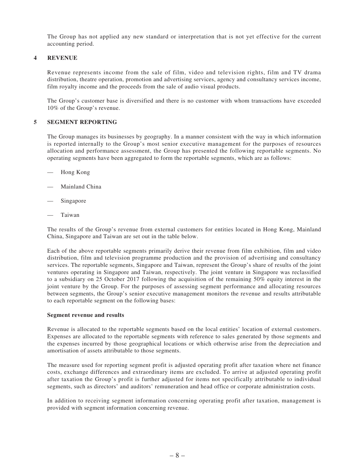The Group has not applied any new standard or interpretation that is not yet effective for the current accounting period.

#### **4 REVENUE**

Revenue represents income from the sale of film, video and television rights, film and TV drama distribution, theatre operation, promotion and advertising services, agency and consultancy services income, film royalty income and the proceeds from the sale of audio visual products.

The Group's customer base is diversified and there is no customer with whom transactions have exceeded 10% of the Group's revenue.

#### **5 SEGMENT REPORTING**

The Group manages its businesses by geography. In a manner consistent with the way in which information is reported internally to the Group's most senior executive management for the purposes of resources allocation and performance assessment, the Group has presented the following reportable segments. No operating segments have been aggregated to form the reportable segments, which are as follows:

- Hong Kong
- Mainland China
- Singapore
- **Taiwan**

The results of the Group's revenue from external customers for entities located in Hong Kong, Mainland China, Singapore and Taiwan are set out in the table below.

Each of the above reportable segments primarily derive their revenue from film exhibition, film and video distribution, film and television programme production and the provision of advertising and consultancy services. The reportable segments, Singapore and Taiwan, represent the Group's share of results of the joint ventures operating in Singapore and Taiwan, respectively. The joint venture in Singapore was reclassified to a subsidiary on 25 October 2017 following the acquisition of the remaining 50% equity interest in the joint venture by the Group. For the purposes of assessing segment performance and allocating resources between segments, the Group's senior executive management monitors the revenue and results attributable to each reportable segment on the following bases:

#### **Segment revenue and results**

Revenue is allocated to the reportable segments based on the local entities' location of external customers. Expenses are allocated to the reportable segments with reference to sales generated by those segments and the expenses incurred by those geographical locations or which otherwise arise from the depreciation and amortisation of assets attributable to those segments.

The measure used for reporting segment profit is adjusted operating profit after taxation where net finance costs, exchange differences and extraordinary items are excluded. To arrive at adjusted operating profit after taxation the Group's profit is further adjusted for items not specifically attributable to individual segments, such as directors' and auditors' remuneration and head office or corporate administration costs.

In addition to receiving segment information concerning operating profit after taxation, management is provided with segment information concerning revenue.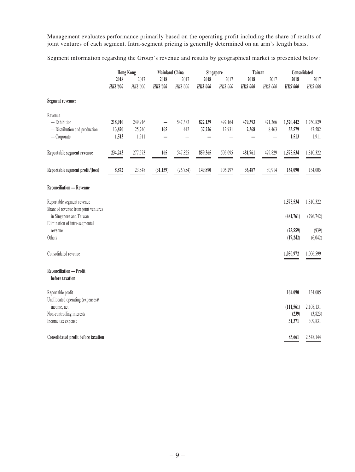Management evaluates performance primarily based on the operating profit including the share of results of joint ventures of each segment. Intra-segment pricing is generally determined on an arm's length basis.

Segment information regarding the Group's revenue and results by geographical market is presented below:

|                                                                             | <b>Hong Kong</b>           |                            | <b>Mainland China</b>   |                  | Singapore               |                   | Taiwan                  |                  | Consolidated                 |                              |
|-----------------------------------------------------------------------------|----------------------------|----------------------------|-------------------------|------------------|-------------------------|-------------------|-------------------------|------------------|------------------------------|------------------------------|
|                                                                             | 2018<br><b>HK\$'000</b>    | 2017<br>HK\$'000           | 2018<br><b>HK\$'000</b> | 2017<br>HK\$'000 | 2018<br><b>HK\$'000</b> | 2017<br>HK\$'000  | 2018<br><b>HK\$'000</b> | 2017<br>HK\$'000 | 2018<br><b>HK\$'000</b>      | 2017<br>HK\$'000             |
| Segment revenue:                                                            |                            |                            |                         |                  |                         |                   |                         |                  |                              |                              |
| Revenue<br>$-$ Exhibition<br>- Distribution and production<br>$-$ Corporate | 218,910<br>13,820<br>1,513 | 249,916<br>25,746<br>1,911 | —<br>165                | 547,383<br>442   | 822,139<br>37,226       | 492,164<br>12,931 | 479,393<br>2,368        | 471,366<br>8,463 | 1,520,442<br>53,579<br>1,513 | 1,760,829<br>47,582<br>1,911 |
| Reportable segment revenue                                                  | 234,243                    | 277,573                    | 165                     | 547,825          | 859,365                 | 505,095           | 481,761                 | 479,829          | 1,575,534                    | 1,810,322                    |
| Reportable segment profit/(loss)                                            | 8,872                      | 23,548                     | (31, 159)               | (26, 754)        | 149,890                 | 106,297           | 36,487                  | 30,914           | 164,090                      | 134,005                      |
| <b>Reconciliation - Revenue</b>                                             |                            |                            |                         |                  |                         |                   |                         |                  |                              |                              |
| Reportable segment revenue<br>Share of revenue from joint ventures          |                            |                            |                         |                  |                         |                   |                         |                  | 1,575,534                    | 1,810,322                    |
| in Singapore and Taiwan<br>Elimination of intra-segmental<br>revenue        |                            |                            |                         |                  |                         |                   |                         |                  | (481,761)<br>(25, 559)       | (796, 742)<br>(939)          |
| Others                                                                      |                            |                            |                         |                  |                         |                   |                         |                  | (17, 242)                    | (6,042)                      |
| Consolidated revenue                                                        |                            |                            |                         |                  |                         |                   |                         |                  | 1,050,972                    | 1,006,599                    |
| <b>Reconciliation - Profit</b><br>before taxation                           |                            |                            |                         |                  |                         |                   |                         |                  |                              |                              |
| Reportable profit<br>Unallocated operating (expenses)/                      |                            |                            |                         |                  |                         |                   |                         |                  | 164,090                      | 134,005                      |
| income, net                                                                 |                            |                            |                         |                  |                         |                   |                         |                  | (111, 561)                   | 2,108,131                    |
| Non-controlling interests<br>Income tax expense                             |                            |                            |                         |                  |                         |                   |                         |                  | (239)<br>31,371              | (3,823)<br>309,831           |
| Consolidated profit before taxation                                         |                            |                            |                         |                  |                         |                   |                         |                  | 83,661                       | 2,548,144                    |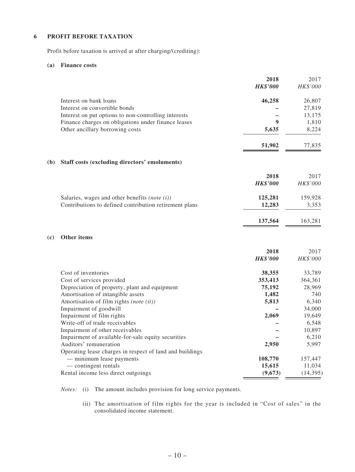#### **6 PROFIT BEFORE TAXATION**

Profit before taxation is arrived at after charging/(crediting):

#### **(a) Finance costs**

|     |                                                          | 2018            | 2017      |
|-----|----------------------------------------------------------|-----------------|-----------|
|     |                                                          | <b>HK\$'000</b> | HK\$'000  |
|     | Interest on bank loans                                   | 46,258          | 26,807    |
|     | Interest on convertible bonds                            |                 | 27,819    |
|     | Interest on put options to non-controlling interests     |                 | 13,175    |
|     | Finance charges on obligations under finance leases      | 9               | 1,810     |
|     | Other ancillary borrowing costs                          | 5,635           | 8,224     |
|     |                                                          | 51,902          | 77,835    |
| (b) | Staff costs (excluding directors' emoluments)            |                 |           |
|     |                                                          | 2018            | 2017      |
|     |                                                          | <b>HK\$'000</b> | HK\$'000  |
|     | Salaries, wages and other benefits (note $(i)$ )         | 125,281         | 159,928   |
|     | Contributions to defined contribution retirement plans   | 12,283          | 3,353     |
|     |                                                          | 137,564         | 163,281   |
| (c) | <b>Other items</b>                                       |                 |           |
|     |                                                          | 2018            | 2017      |
|     |                                                          | <b>HK\$'000</b> | HK\$'000  |
|     | Cost of inventories                                      | 38,355          | 33,789    |
|     | Cost of services provided                                | 353,413         | 364,361   |
|     | Depreciation of property, plant and equipment            | 75,192          | 28,969    |
|     | Amortisation of intangible assets                        | 1,482           | 740       |
|     | Amortisation of film rights (note (ii))                  | 5,813           | 6,340     |
|     | Impairment of goodwill                                   |                 | 34,000    |
|     | Impairment of film rights                                | 2,069           | 19,649    |
|     | Write-off of trade receivables                           |                 | 6,548     |
|     | Impairment of other receivables                          |                 | 10,897    |
|     | Impairment of available-for-sale equity securities       |                 | 6,210     |
|     | Auditors' remuneration                                   | 2,950           | 5,997     |
|     | Operating lease charges in respect of land and buildings |                 |           |
|     | - minimum lease payments                                 | 108,770         | 157,447   |
|     | - contingent rentals                                     | 15,615          | 11,034    |
|     | Rental income less direct outgoings                      | (9,673)         | (14, 395) |

*Notes:* (i) The amount includes provision for long service payments.

 (ii) The amortisation of film rights for the year is included in "Cost of sales" in the consolidated income statement.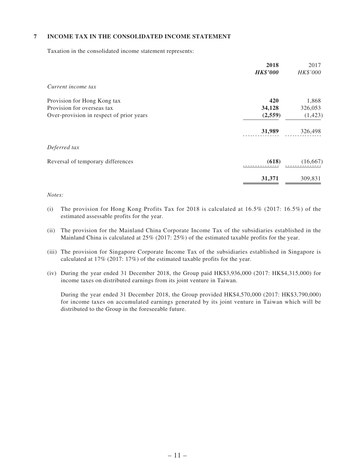### **7 INCOME TAX IN THE CONSOLIDATED INCOME STATEMENT**

Taxation in the consolidated income statement represents:

| 2018<br><b>HK\$'000</b> | 2017<br>HK\$'000 |
|-------------------------|------------------|
|                         |                  |
| 420                     | 1,868            |
| 34,128                  | 326,053          |
| (2, 559)                | (1, 423)         |
| 31,989                  | 326,498          |
|                         |                  |
| (618)                   | (16, 667)        |
| 31,371                  | 309,831          |
|                         |                  |

#### *Notes:*

- (i) The provision for Hong Kong Profits Tax for 2018 is calculated at  $16.5\%$  (2017:  $16.5\%$ ) of the estimated assessable profits for the year.
- (ii) The provision for the Mainland China Corporate Income Tax of the subsidiaries established in the Mainland China is calculated at 25% (2017: 25%) of the estimated taxable profits for the year.
- (iii) The provision for Singapore Corporate Income Tax of the subsidiaries established in Singapore is calculated at 17% (2017: 17%) of the estimated taxable profits for the year.
- (iv) During the year ended 31 December 2018, the Group paid HK\$3,936,000 (2017: HK\$4,315,000) for income taxes on distributed earnings from its joint venture in Taiwan.

 During the year ended 31 December 2018, the Group provided HK\$4,570,000 (2017: HK\$3,790,000) for income taxes on accumulated earnings generated by its joint venture in Taiwan which will be distributed to the Group in the foreseeable future.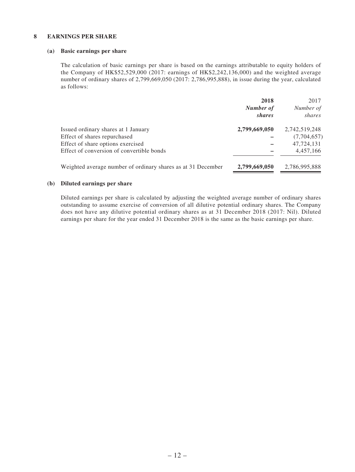#### **8 EARNINGS PER SHARE**

#### **(a) Basic earnings per share**

The calculation of basic earnings per share is based on the earnings attributable to equity holders of the Company of HK\$52,529,000 (2017: earnings of HK\$2,242,136,000) and the weighted average number of ordinary shares of 2,799,669,050 (2017: 2,786,995,888), in issue during the year, calculated as follows:

|                                                              | 2018<br>Number of<br>shares | 2017<br>Number of<br>shares |
|--------------------------------------------------------------|-----------------------------|-----------------------------|
| Issued ordinary shares at 1 January                          | 2,799,669,050               | 2,742,519,248               |
| Effect of shares repurchased                                 |                             | (7,704,657)                 |
| Effect of share options exercised                            |                             | 47,724,131                  |
| Effect of conversion of convertible bonds                    |                             | 4,457,166                   |
| Weighted average number of ordinary shares as at 31 December | 2,799,669,050               | 2,786,995,888               |

#### **(b) Diluted earnings per share**

Diluted earnings per share is calculated by adjusting the weighted average number of ordinary shares outstanding to assume exercise of conversion of all dilutive potential ordinary shares. The Company does not have any dilutive potential ordinary shares as at 31 December 2018 (2017: Nil). Diluted earnings per share for the year ended 31 December 2018 is the same as the basic earnings per share.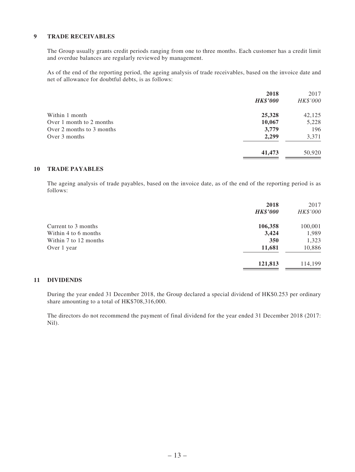#### **9 TRADE RECEIVABLES**

The Group usually grants credit periods ranging from one to three months. Each customer has a credit limit and overdue balances are regularly reviewed by management.

As of the end of the reporting period, the ageing analysis of trade receivables, based on the invoice date and net of allowance for doubtful debts, is as follows:

|                           | 2018<br><b>HK\$'000</b> | 2017<br>HK\$'000 |
|---------------------------|-------------------------|------------------|
| Within 1 month            | 25,328                  | 42,125           |
| Over 1 month to 2 months  | 10,067                  | 5,228            |
| Over 2 months to 3 months | 3,779                   | 196              |
| Over 3 months             | 2,299                   | 3,371            |
|                           | 41,473                  | 50,920           |
|                           |                         |                  |

### **10 TRADE PAYABLES**

The ageing analysis of trade payables, based on the invoice date, as of the end of the reporting period is as follows:

| 2018            | 2017     |
|-----------------|----------|
| <b>HK\$'000</b> | HK\$'000 |
| 106,358         | 100,001  |
| 3,424           | 1,989    |
| 350             | 1,323    |
| 11,681          | 10,886   |
| 121,813         | 114,199  |
|                 |          |

#### **11 DIVIDENDS**

During the year ended 31 December 2018, the Group declared a special dividend of HK\$0.253 per ordinary share amounting to a total of HK\$708,316,000.

The directors do not recommend the payment of final dividend for the year ended 31 December 2018 (2017: Nil).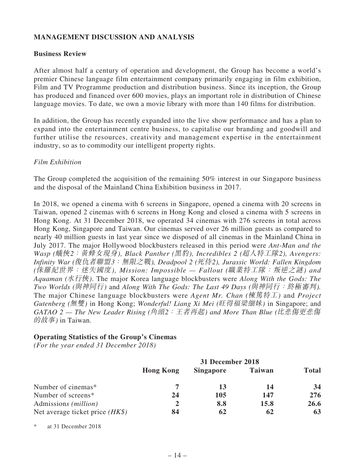# **MANAGEMENT DISCUSSION AND ANALYSIS**

### **Business Review**

After almost half a century of operation and development, the Group has become a world's premier Chinese language film entertainment company primarily engaging in film exhibition, Film and TV Programme production and distribution business. Since its inception, the Group has produced and financed over 600 movies, plays an important role in distribution of Chinese language movies. To date, we own a movie library with more than 140 films for distribution.

In addition, the Group has recently expanded into the live show performance and has a plan to expand into the entertainment centre business, to capitalise our branding and goodwill and further utilise the resources, creativity and management expertise in the entertainment industry, so as to commodity our intelligent property rights.

## *Film Exhibition*

The Group completed the acquisition of the remaining 50% interest in our Singapore business and the disposal of the Mainland China Exhibition business in 2017.

In 2018, we opened a cinema with 6 screens in Singapore, opened a cinema with 20 screens in Taiwan, opened 2 cinemas with 6 screens in Hong Kong and closed a cinema with 5 screens in Hong Kong. At 31 December 2018, we operated 34 cinemas with 276 screens in total across Hong Kong, Singapore and Taiwan. Our cinemas served over 26 million guests as compared to nearly 40 million guests in last year since we disposed of all cinemas in the Mainland China in July 2017. The major Hollywood blockbusters released in this period were *Ant-Man and the Wasp (*蟻俠*2*:黃蜂女現身*), Black Panther (*黑豹*), Incredibles 2 (*超人特工隊*2), Avengers: Infinity War (*復仇者聯盟*3*:無限之戰*), Deadpool 2 (*死侍*2), Jurassic World: Fallen Kingdom (*侏羅紀世界:迷失國度*), Mission: Impossible — Fallout (*職業特工隊:叛逆之謎*) and Aquaman (*水行俠*)*. The major Korea language blockbusters were *Along With the Gods: The Two Worlds (*與神同行*)* and *Along With The Gods: The Last 49 Days (*與神同行:終極審判*).* The major Chinese language blockbusters were *Agent Mr. Chan (*棟篤特工*)* and *Project Gutenberg (*無雙*)* in Hong Kong; *Wonderful! Liang Xi Mei (*旺得福梁細妹*)* in Singapore; and *GATAO 2 — The New Leader Rising (*角頭*2*:王者再起*) and More Than Blue (*比悲傷更悲傷 的故事*)* in Taiwan.

# **Operating Statistics of the Group's Cinemas**

*(For the year ended 31 December 2018)*

|                                   | <b>Hong Kong</b> | <b>Singapore</b> | <b>Taiwan</b> | <b>Total</b> |
|-----------------------------------|------------------|------------------|---------------|--------------|
| Number of cinemas*                |                  | 13               | 14            | 34           |
| Number of screens*                | 24               | 105              | 147           | 276          |
| Admissions ( <i>million</i> )     |                  | 8.8              | 15.8          | <b>26.6</b>  |
| Net average ticket price $(HK\$ ) | 84               | 62               | 62            | 63           |

\* at 31 December 2018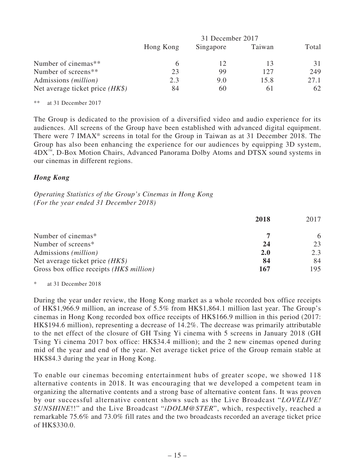|                                   | 31 December 2017 |           |        |       |
|-----------------------------------|------------------|-----------|--------|-------|
|                                   | Hong Kong        | Singapore | Taiwan | Total |
| Number of cinemas**               |                  |           |        | 31    |
| Number of screens <sup>**</sup>   | 23               | 99        | 127    | 249   |
| Admissions ( <i>million</i> )     | 2.3              | 9.0       | 15.8   | 27.1  |
| Net average ticket price $(HK\$ ) | 84               | 6()       | 6 I    | 62    |

\*\* at 31 December 2017

The Group is dedicated to the provision of a diversified video and audio experience for its audiences. All screens of the Group have been established with advanced digital equipment. There were 7 IMAX® screens in total for the Group in Taiwan as at 31 December 2018. The Group has also been enhancing the experience for our audiences by equipping 3D system, 4DX™, D-Box Motion Chairs, Advanced Panorama Dolby Atoms and DTSX sound systems in our cinemas in different regions.

## *Hong Kong*

*Operating Statistics of the Group's Cinemas in Hong Kong (For the year ended 31 December 2018)*

|                                          | 2018       | 2017 |
|------------------------------------------|------------|------|
| Number of cinemas*                       |            | 6    |
| Number of screens*                       | 24         | 23   |
| Admissions ( <i>million</i> )            | <b>2.0</b> | 2.3  |
| Net average ticket price $(HK\$ )        | 84         | 84   |
| Gross box office receipts (HK\$ million) | 167        | 195  |

\* at 31 December 2018

During the year under review, the Hong Kong market as a whole recorded box office receipts of HK\$1,966.9 million, an increase of 5.5% from HK\$1,864.1 million last year. The Group's cinemas in Hong Kong recorded box office receipts of HK\$166.9 million in this period (2017: HK\$194.6 million), representing a decrease of 14.2%. The decrease was primarily attributable to the net effect of the closure of GH Tsing Yi cinema with 5 screens in January 2018 (GH Tsing Yi cinema 2017 box office: HK\$34.4 million); and the 2 new cinemas opened during mid of the year and end of the year. Net average ticket price of the Group remain stable at HK\$84.3 during the year in Hong Kong.

To enable our cinemas becoming entertainment hubs of greater scope, we showed 118 alternative contents in 2018. It was encouraging that we developed a competent team in organizing the alternative contents and a strong base of alternative content fans. It was proven by our successful alternative content shows such as the Live Broadcast "*LOVELIVE! SUNSHINE*!!" and the Live Broadcast "*iDOLM@STER*", which, respectively, reached a remarkable 75.6% and 73.0% fill rates and the two broadcasts recorded an average ticket price of HK\$330.0.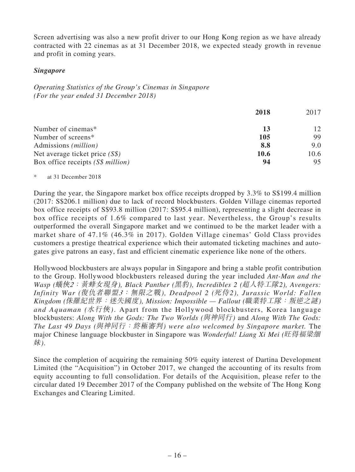Screen advertising was also a new profit driver to our Hong Kong region as we have already contracted with 22 cinemas as at 31 December 2018, we expected steady growth in revenue and profit in coming years.

## *Singapore*

*Operating Statistics of the Group's Cinemas in Singapore (For the year ended 31 December 2018)*

|                                    | 2018 | 2017 |
|------------------------------------|------|------|
| Number of cinemas*                 | 13   | 12   |
| Number of screens*                 | 105  | 99   |
| Admissions ( <i>million</i> )      | 8.8  | 9.0  |
| Net average ticket price $(S\$ )   | 10.6 | 10.6 |
| Box office receipts $(S\$ million) | 94   | 95   |

### at 31 December 2018

During the year, the Singapore market box office receipts dropped by 3.3% to S\$199.4 million (2017: S\$206.1 million) due to lack of record blockbusters. Golden Village cinemas reported box office receipts of S\$93.8 million (2017: S\$95.4 million), representing a slight decrease in box office receipts of 1.6% compared to last year. Nevertheless, the Group's results outperformed the overall Singapore market and we continued to be the market leader with a market share of 47.1% (46.3% in 2017). Golden Village cinemas' Gold Class provides customers a prestige theatrical experience which their automated ticketing machines and autogates give patrons an easy, fast and efficient cinematic experience like none of the others.

Hollywood blockbusters are always popular in Singapore and bring a stable profit contribution to the Group. Hollywood blockbusters released during the year included *Ant-Man and the Wasp (*蟻俠*2*:黃蜂女現身*), Black Panther (*黑豹*), Incredibles 2 (*超人特工隊*2), Avengers: Infinity War (*復仇者聯盟*3*:無限之戰*), Deadpool 2 (*死侍*2), Jurassic World: Fallen Kingdom (*侏羅紀世界:迷失國度*), Mission: Impossible — Fallout (*職業特工隊:叛逆之謎*) and Aquaman (*水行俠*)*. Apart from the Hollywood blockbusters, Korea language blockbusters: *Along With the Gods: The Two Worlds (*與神同行*)* and *Along With The Gods: The Last 49 Days (*與神同行:終極審判*) were also welcomed by Singapore market.* The major Chinese language blockbuster in Singapore was *Wonderful! Liang Xi Mei (*旺得福梁細 妹*)*.

Since the completion of acquiring the remaining 50% equity interest of Dartina Development Limited (the "Acquisition") in October 2017, we changed the accounting of its results from equity accounting to full consolidation. For details of the Acquisition, please refer to the circular dated 19 December 2017 of the Company published on the website of The Hong Kong Exchanges and Clearing Limited.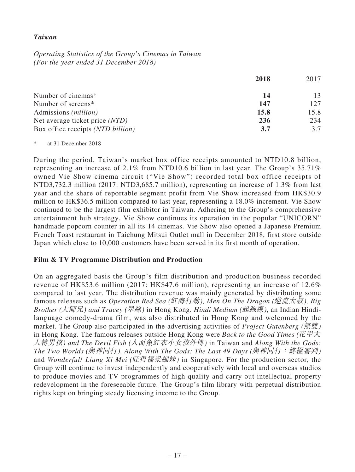## *Taiwan*

*Operating Statistics of the Group's Cinemas in Taiwan (For the year ended 31 December 2018)*

|                                   | 2018 | 2017 |
|-----------------------------------|------|------|
| Number of cinemas*                | 14   | 13   |
| Number of screens*                | 147  | 127  |
| Admissions ( <i>million</i> )     | 15.8 | 15.8 |
| Net average ticket price (NTD)    | 236  | 234  |
| Box office receipts (NTD billion) | 3.7  | 3.7  |

\* at 31 December 2018

During the period, Taiwan's market box office receipts amounted to NTD10.8 billion, representing an increase of 2.1% from NTD10.6 billion in last year. The Group's 35.71% owned Vie Show cinema circuit ("Vie Show") recorded total box office receipts of NTD3,732.3 million (2017: NTD3,685.7 million), representing an increase of 1.3% from last year and the share of reportable segment profit from Vie Show increased from HK\$30.9 million to HK\$36.5 million compared to last year, representing a 18.0% increment. Vie Show continued to be the largest film exhibitor in Taiwan. Adhering to the Group's comprehensive entertainment hub strategy, Vie Show continues its operation in the popular "UNICORN" handmade popcorn counter in all its 14 cinemas. Vie Show also opened a Japanese Premium French Toast restaurant in Taichung Mitsui Outlet mall in December 2018, first store outside Japan which close to 10,000 customers have been served in its first month of operation.

### **Film & TV Programme Distribution and Production**

On an aggregated basis the Group's film distribution and production business recorded revenue of HK\$53.6 million (2017: HK\$47.6 million), representing an increase of 12.6% compared to last year. The distribution revenue was mainly generated by distributing some famous releases such as *Operation Red Sea (*紅海行動*), Men On The Dragon (*逆流大叔*), Big Brother (*大師兄*) and Tracey (*翠絲*)* in Hong Kong. *Hindi Medium (*起跑線*)*, an Indian Hindilanguage comedy-drama film, was also distributed in Hong Kong and welcomed by the market. The Group also participated in the advertising activities of *Project Gutenberg (*無雙*)* in Hong Kong. The famous releases outside Hong Kong were *Back to the Good Times (*花甲大 人轉男孩*) and The Devil Fish (*人面魚紅衣小女孩外傳*)* in Taiwan and *Along With the Gods: The Two Worlds (*與神同行*), Along With The Gods: The Last 49 Days (*與神同行:終極審判*)*  and *Wonderful! Liang Xi Mei (*旺得福梁細妹*)* in Singapore. For the production sector, the Group will continue to invest independently and cooperatively with local and overseas studios to produce movies and TV programmes of high quality and carry out intellectual property redevelopment in the foreseeable future. The Group's film library with perpetual distribution rights kept on bringing steady licensing income to the Group.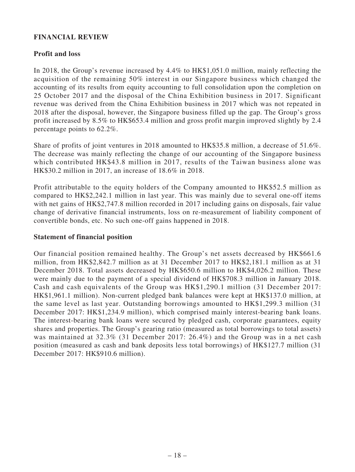# **FINANCIAL REVIEW**

## **Profit and loss**

In 2018, the Group's revenue increased by 4.4% to HK\$1,051.0 million, mainly reflecting the acquisition of the remaining 50% interest in our Singapore business which changed the accounting of its results from equity accounting to full consolidation upon the completion on 25 October 2017 and the disposal of the China Exhibition business in 2017. Significant revenue was derived from the China Exhibition business in 2017 which was not repeated in 2018 after the disposal, however, the Singapore business filled up the gap. The Group's gross profit increased by 8.5% to HK\$653.4 million and gross profit margin improved slightly by 2.4 percentage points to 62.2%.

Share of profits of joint ventures in 2018 amounted to HK\$35.8 million, a decrease of 51.6%. The decrease was mainly reflecting the change of our accounting of the Singapore business which contributed HK\$43.8 million in 2017, results of the Taiwan business alone was HK\$30.2 million in 2017, an increase of 18.6% in 2018.

Profit attributable to the equity holders of the Company amounted to HK\$52.5 million as compared to HK\$2,242.1 million in last year. This was mainly due to several one-off items with net gains of HK\$2,747.8 million recorded in 2017 including gains on disposals, fair value change of derivative financial instruments, loss on re-measurement of liability component of convertible bonds, etc. No such one-off gains happened in 2018.

### **Statement of financial position**

Our financial position remained healthy. The Group's net assets decreased by HK\$661.6 million, from HK\$2,842.7 million as at 31 December 2017 to HK\$2,181.1 million as at 31 December 2018. Total assets decreased by HK\$650.6 million to HK\$4,026.2 million. These were mainly due to the payment of a special dividend of HK\$708.3 million in January 2018. Cash and cash equivalents of the Group was HK\$1,290.1 million (31 December 2017: HK\$1,961.1 million). Non-current pledged bank balances were kept at HK\$137.0 million, at the same level as last year. Outstanding borrowings amounted to HK\$1,299.3 million (31 December 2017: HK\$1,234.9 million), which comprised mainly interest-bearing bank loans. The interest-bearing bank loans were secured by pledged cash, corporate guarantees, equity shares and properties. The Group's gearing ratio (measured as total borrowings to total assets) was maintained at 32.3% (31 December 2017: 26.4%) and the Group was in a net cash position (measured as cash and bank deposits less total borrowings) of HK\$127.7 million (31 December 2017: HK\$910.6 million).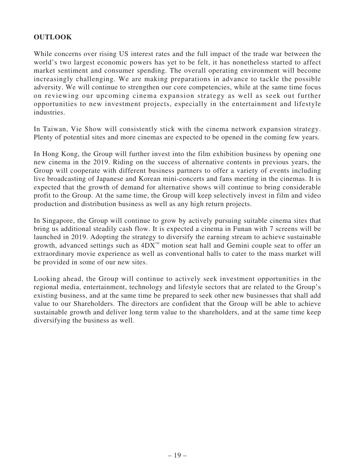# **OUTLOOK**

While concerns over rising US interest rates and the full impact of the trade war between the world's two largest economic powers has yet to be felt, it has nonetheless started to affect market sentiment and consumer spending. The overall operating environment will become increasingly challenging. We are making preparations in advance to tackle the possible adversity. We will continue to strengthen our core competencies, while at the same time focus on reviewing our upcoming cinema expansion strategy as well as seek out further opportunities to new investment projects, especially in the entertainment and lifestyle industries.

In Taiwan, Vie Show will consistently stick with the cinema network expansion strategy. Plenty of potential sites and more cinemas are expected to be opened in the coming few years.

In Hong Kong, the Group will further invest into the film exhibition business by opening one new cinema in the 2019. Riding on the success of alternative contents in previous years, the Group will cooperate with different business partners to offer a variety of events including live broadcasting of Japanese and Korean mini-concerts and fans meeting in the cinemas. It is expected that the growth of demand for alternative shows will continue to bring considerable profit to the Group. At the same time, the Group will keep selectively invest in film and video production and distribution business as well as any high return projects.

In Singapore, the Group will continue to grow by actively pursuing suitable cinema sites that bring us additional steadily cash flow. It is expected a cinema in Funan with 7 screens will be launched in 2019. Adopting the strategy to diversify the earning stream to achieve sustainable growth, advanced settings such as 4DX™ motion seat hall and Gemini couple seat to offer an extraordinary movie experience as well as conventional halls to cater to the mass market will be provided in some of our new sites.

Looking ahead, the Group will continue to actively seek investment opportunities in the regional media, entertainment, technology and lifestyle sectors that are related to the Group's existing business, and at the same time be prepared to seek other new businesses that shall add value to our Shareholders. The directors are confident that the Group will be able to achieve sustainable growth and deliver long term value to the shareholders, and at the same time keep diversifying the business as well.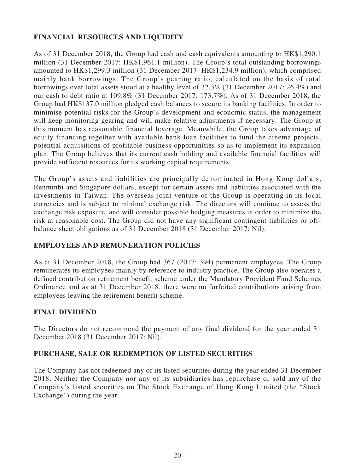# **FINANCIAL RESOURCES AND LIQUIDITY**

As of 31 December 2018, the Group had cash and cash equivalents amounting to HK\$1,290.1 million (31 December 2017: HK\$1,961.1 million). The Group's total outstanding borrowings amounted to HK\$1,299.3 million (31 December 2017: HK\$1,234.9 million), which comprised mainly bank borrowings. The Group's gearing ratio, calculated on the basis of total borrowings over total assets stood at a healthy level of 32.3% (31 December 2017: 26.4%) and our cash to debt ratio at 109.8% (31 December 2017: 173.7%). As of 31 December 2018, the Group had HK\$137.0 million pledged cash balances to secure its banking facilities. In order to minimise potential risks for the Group's development and economic status, the management will keep monitoring gearing and will make relative adjustments if necessary. The Group at this moment has reasonable financial leverage. Meanwhile, the Group takes advantage of equity financing together with available bank loan facilities to fund the cinema projects, potential acquisitions of profitable business opportunities so as to implement its expansion plan. The Group believes that its current cash holding and available financial facilities will provide sufficient resources for its working capital requirements.

The Group's assets and liabilities are principally denominated in Hong Kong dollars, Renminbi and Singapore dollars, except for certain assets and liabilities associated with the investments in Taiwan. The overseas joint venture of the Group is operating in its local currencies and is subject to minimal exchange risk. The directors will continue to assess the exchange risk exposure, and will consider possible hedging measures in order to minimize the risk at reasonable cost. The Group did not have any significant contingent liabilities or offbalance sheet obligations as of 31 December 2018 (31 December 2017: Nil).

# **EMPLOYEES AND REMUNERATION POLICIES**

As at 31 December 2018, the Group had 367 (2017: 394) permanent employees. The Group remunerates its employees mainly by reference to industry practice. The Group also operates a defined contribution retirement benefit scheme under the Mandatory Provident Fund Schemes Ordinance and as at 31 December 2018, there were no forfeited contributions arising from employees leaving the retirement benefit scheme.

# **FINAL DIVIDEND**

The Directors do not recommend the payment of any final dividend for the year ended 31 December 2018 (31 December 2017: Nil).

# **PURCHASE, SALE OR REDEMPTION OF LISTED SECURITIES**

The Company has not redeemed any of its listed securities during the year ended 31 December 2018. Neither the Company nor any of its subsidiaries has repurchase or sold any of the Company's listed securities on The Stock Exchange of Hong Kong Limited (the "Stock Exchange") during the year.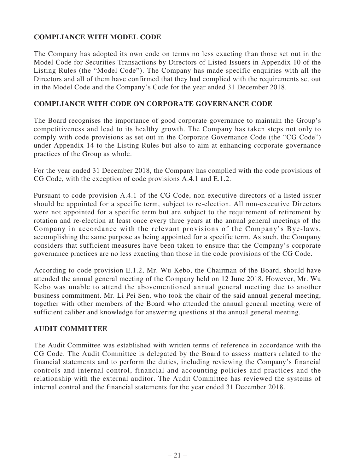# **COMPLIANCE WITH MODEL CODE**

The Company has adopted its own code on terms no less exacting than those set out in the Model Code for Securities Transactions by Directors of Listed Issuers in Appendix 10 of the Listing Rules (the "Model Code"). The Company has made specific enquiries with all the Directors and all of them have confirmed that they had complied with the requirements set out in the Model Code and the Company's Code for the year ended 31 December 2018.

## **COMPLIANCE WITH CODE ON CORPORATE GOVERNANCE CODE**

The Board recognises the importance of good corporate governance to maintain the Group's competitiveness and lead to its healthy growth. The Company has taken steps not only to comply with code provisions as set out in the Corporate Governance Code (the "CG Code") under Appendix 14 to the Listing Rules but also to aim at enhancing corporate governance practices of the Group as whole.

For the year ended 31 December 2018, the Company has complied with the code provisions of CG Code, with the exception of code provisions A.4.1 and E.1.2.

Pursuant to code provision A.4.1 of the CG Code, non-executive directors of a listed issuer should be appointed for a specific term, subject to re-election. All non-executive Directors were not appointed for a specific term but are subject to the requirement of retirement by rotation and re-election at least once every three years at the annual general meetings of the Company in accordance with the relevant provisions of the Company's Bye-laws, accomplishing the same purpose as being appointed for a specific term. As such, the Company considers that sufficient measures have been taken to ensure that the Company's corporate governance practices are no less exacting than those in the code provisions of the CG Code.

According to code provision E.1.2, Mr. Wu Kebo, the Chairman of the Board, should have attended the annual general meeting of the Company held on 12 June 2018. However, Mr. Wu Kebo was unable to attend the abovementioned annual general meeting due to another business commitment. Mr. Li Pei Sen, who took the chair of the said annual general meeting, together with other members of the Board who attended the annual general meeting were of sufficient caliber and knowledge for answering questions at the annual general meeting.

### **AUDIT COMMITTEE**

The Audit Committee was established with written terms of reference in accordance with the CG Code. The Audit Committee is delegated by the Board to assess matters related to the financial statements and to perform the duties, including reviewing the Company's financial controls and internal control, financial and accounting policies and practices and the relationship with the external auditor. The Audit Committee has reviewed the systems of internal control and the financial statements for the year ended 31 December 2018.